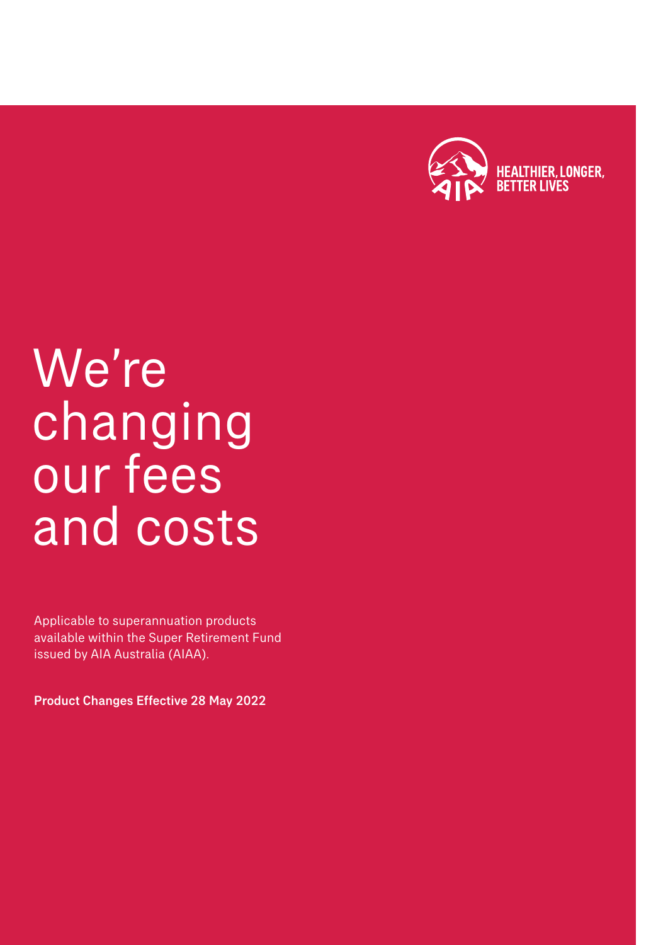

# We're changing our fees and costs

Applicable to superannuation products available within the Super Retirement Fund issued by AIA Australia (AIAA).

Product Changes Effective 28 May 2022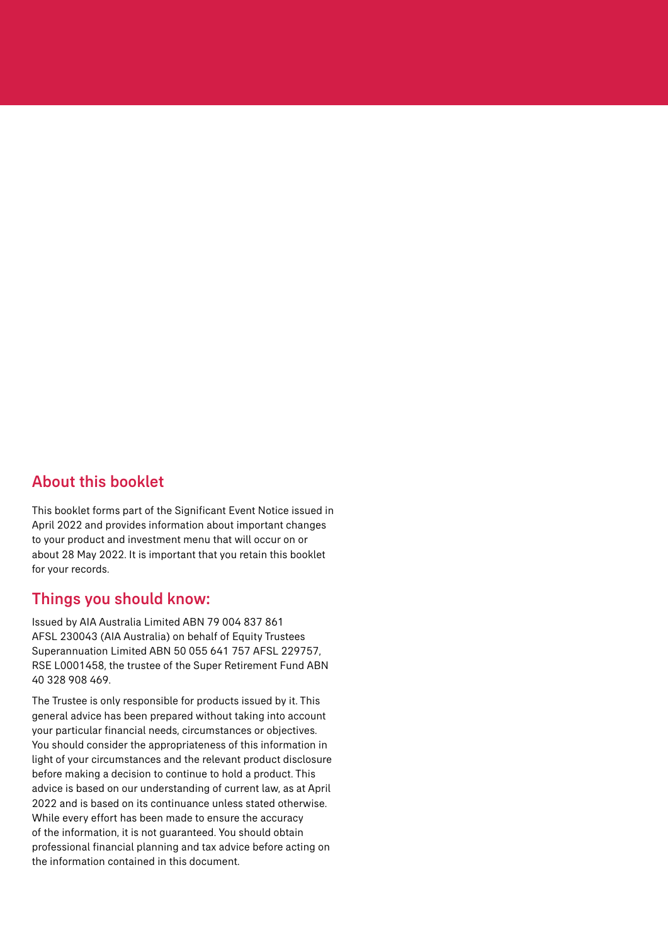### About this booklet

This booklet forms part of the Significant Event Notice issued in April 2022 and provides information about important changes to your product and investment menu that will occur on or about 28 May 2022. It is important that you retain this booklet for your records.

### Things you should know:

Issued by AIA Australia Limited ABN 79 004 837 861 AFSL 230043 (AIA Australia) on behalf of Equity Trustees Superannuation Limited ABN 50 055 641 757 AFSL 229757, RSE L0001458, the trustee of the Super Retirement Fund ABN 40 328 908 469.

The Trustee is only responsible for products issued by it. This general advice has been prepared without taking into account your particular financial needs, circumstances or objectives. You should consider the appropriateness of this information in light of your circumstances and the relevant product disclosure before making a decision to continue to hold a product. This advice is based on our understanding of current law, as at April 2022 and is based on its continuance unless stated otherwise. While every effort has been made to ensure the accuracy of the information, it is not guaranteed. You should obtain professional financial planning and tax advice before acting on the information contained in this document.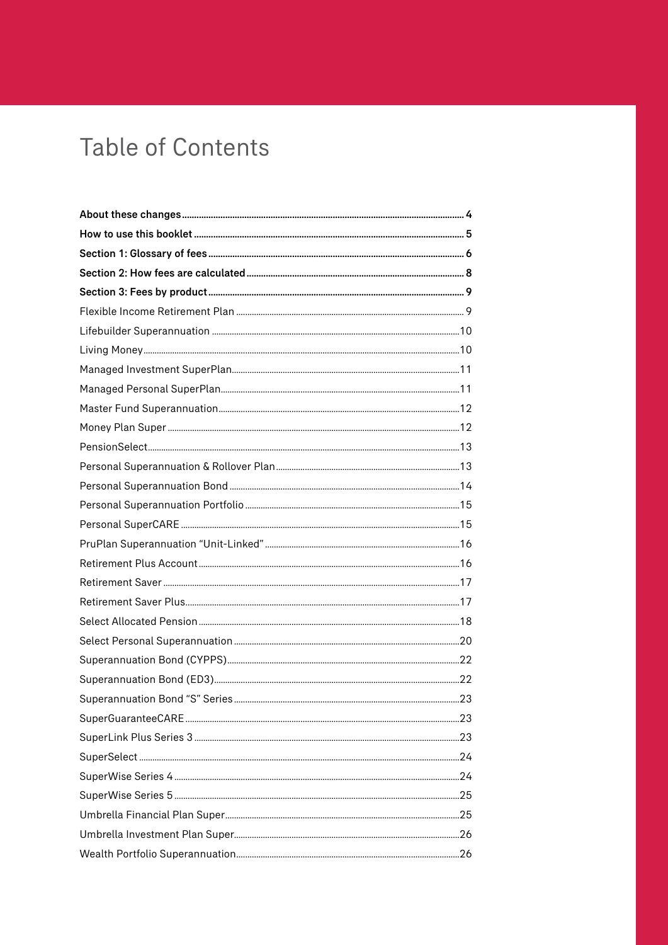## **Table of Contents**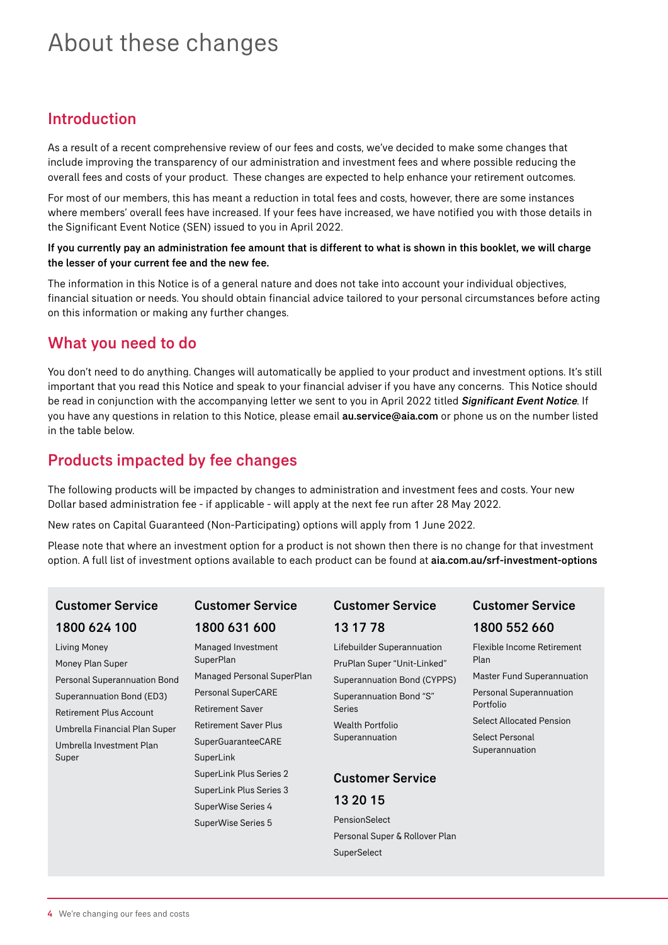## About these changes

### Introduction

As a result of a recent comprehensive review of our fees and costs, we've decided to make some changes that include improving the transparency of our administration and investment fees and where possible reducing the overall fees and costs of your product. These changes are expected to help enhance your retirement outcomes.

For most of our members, this has meant a reduction in total fees and costs, however, there are some instances where members' overall fees have increased. If your fees have increased, we have notified you with those details in the Significant Event Notice (SEN) issued to you in April 2022.

If you currently pay an administration fee amount that is different to what is shown in this booklet, we will charge the lesser of your current fee and the new fee.

The information in this Notice is of a general nature and does not take into account your individual objectives, financial situation or needs. You should obtain financial advice tailored to your personal circumstances before acting on this information or making any further changes.

### What you need to do

You don't need to do anything. Changes will automatically be applied to your product and investment options. It's still important that you read this Notice and speak to your financial adviser if you have any concerns. This Notice should be read in conjunction with the accompanying letter we sent to you in April 2022 titled Significant Event Notice. If you have any questions in relation to this Notice, please email **[au.service@aia.com](mailto:au.service%40aia.com?subject=)** or phone us on the number listed in the table below.

### Products impacted by fee changes

The following products will be impacted by changes to administration and investment fees and costs. Your new Dollar based administration fee - if applicable - will apply at the next fee run after 28 May 2022.

New rates on Capital Guaranteed (Non-Participating) options will apply from 1 June 2022.

Please note that where an investment option for a product is not shown then there is no change for that investment option. A full list of investment options available to each product can be found at [aia.com.au/srf-investment-options](http://aia.com.au/srf-investment-options)

### Customer Service 1800 624 100

Living Money Money Plan Super Personal Superannuation Bond Superannuation Bond (ED3) Retirement Plus Account Umbrella Financial Plan Super Umbrella Investment Plan Super

## Customer Service

### 1800 631 600

Managed Investment SuperPlan Managed Personal SuperPlan Personal SuperCARE Retirement Saver Retirement Saver Plus SuperGuaranteeCARE SuperLink SuperLink Plus Series 2 SuperLink Plus Series 3 SuperWise Series 4

SuperWise Series 5

### Customer Service 13 17 78

Lifebuilder Superannuation PruPlan Super "Unit-Linked" Superannuation Bond (CYPPS) Superannuation Bond "S" Series Wealth Portfolio Superannuation

### Customer Service 1800 552 660

Flexible Income Retirement Plan Master Fund Superannuation

Personal Superannuation Portfolio Select Allocated Pension

Select Personal Superannuation

### Customer Service

#### 13 20 15

PensionSelect Personal Super & Rollover Plan **SuperSelect**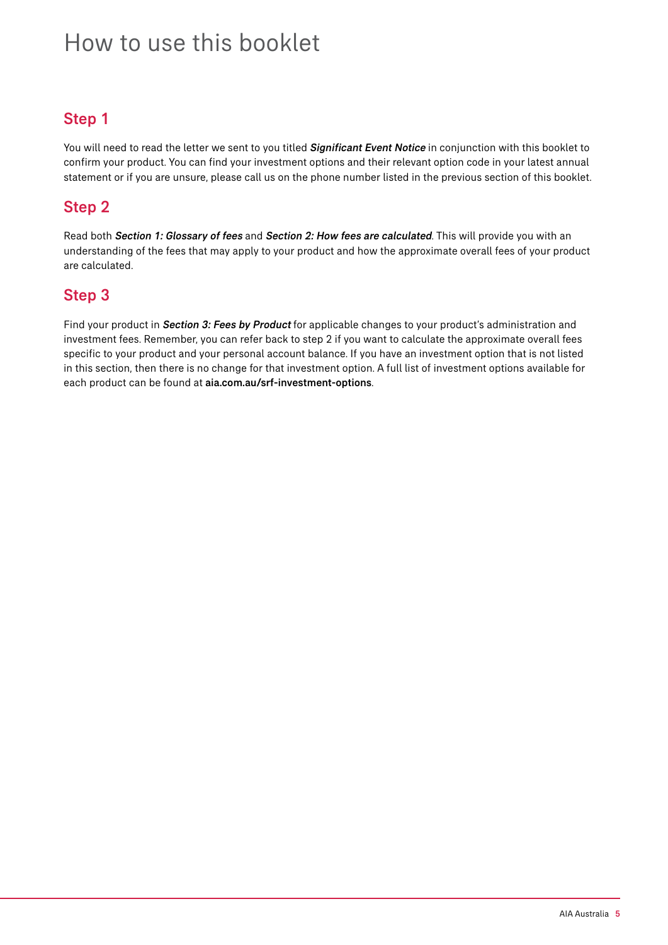## How to use this booklet

### Step 1

You will need to read the letter we sent to you titled Significant Event Notice in conjunction with this booklet to confirm your product. You can find your investment options and their relevant option code in your latest annual statement or if you are unsure, please call us on the phone number listed in the previous section of this booklet.

### Step 2

Read both Section 1: Glossary of fees and Section 2: How fees are calculated. This will provide you with an understanding of the fees that may apply to your product and how the approximate overall fees of your product are calculated.

### Step 3

Find your product in Section 3: Fees by Product for applicable changes to your product's administration and investment fees. Remember, you can refer back to step 2 if you want to calculate the approximate overall fees specific to your product and your personal account balance. If you have an investment option that is not listed in this section, then there is no change for that investment option. A full list of investment options available for each product can be found at [aia.com.au/srf-investment-options](http://aia.com.au/srf-investment-options).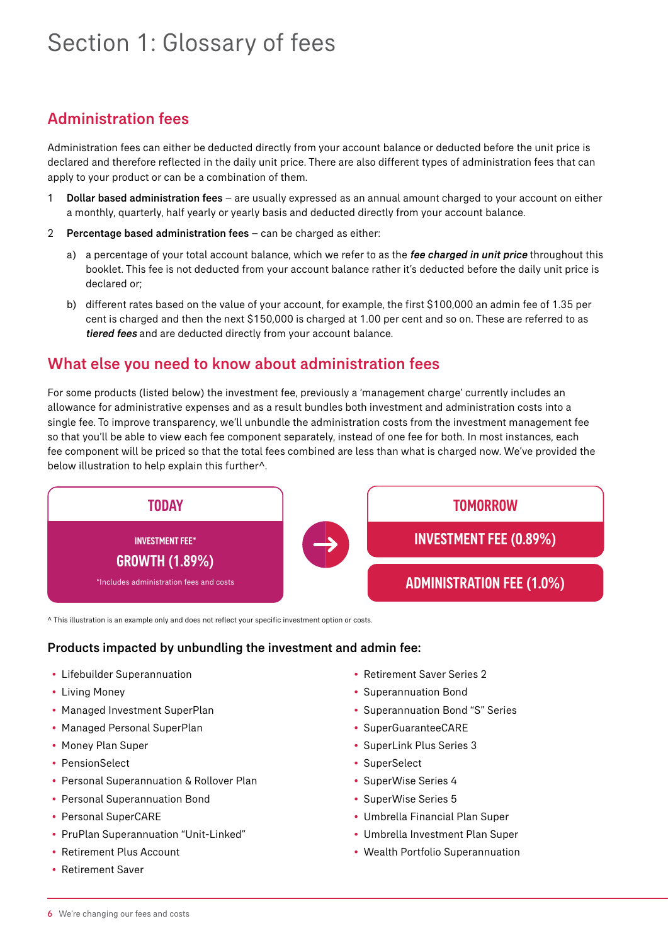## Section 1: Glossary of fees

### Administration fees

Administration fees can either be deducted directly from your account balance or deducted before the unit price is declared and therefore reflected in the daily unit price. There are also different types of administration fees that can apply to your product or can be a combination of them.

- 1 Dollar based administration fees are usually expressed as an annual amount charged to your account on either a monthly, quarterly, half yearly or yearly basis and deducted directly from your account balance.
- 2 Percentage based administration fees can be charged as either:
	- a) a percentage of your total account balance, which we refer to as the fee charged in unit price throughout this booklet. This fee is not deducted from your account balance rather it's deducted before the daily unit price is declared or;
	- b) different rates based on the value of your account, for example, the first \$100,000 an admin fee of 1.35 per cent is charged and then the next \$150,000 is charged at 1.00 per cent and so on. These are referred to as tiered fees and are deducted directly from your account balance.

### What else you need to know about administration fees

For some products (listed below) the investment fee, previously a 'management charge' currently includes an allowance for administrative expenses and as a result bundles both investment and administration costs into a single fee. To improve transparency, we'll unbundle the administration costs from the investment management fee so that you'll be able to view each fee component separately, instead of one fee for both. In most instances, each fee component will be priced so that the total fees combined are less than what is charged now. We've provided the below illustration to help explain this further^.



^ This illustration is an example only and does not reflect your specific investment option or costs.

#### Products impacted by unbundling the investment and admin fee:

- Lifebuilder Superannuation
- Living Money
- Managed Investment SuperPlan
- Managed Personal SuperPlan
- Money Plan Super
- PensionSelect
- Personal Superannuation & Rollover Plan
- Personal Superannuation Bond
- Personal SuperCARE
- PruPlan Superannuation "Unit-Linked"
- Retirement Plus Account
- Retirement Saver
- Retirement Saver Series 2
- Superannuation Bond
- Superannuation Bond "S" Series
- SuperGuaranteeCARE
- SuperLink Plus Series 3
- SuperSelect
- SuperWise Series 4
- SuperWise Series 5
- Umbrella Financial Plan Super
- Umbrella Investment Plan Super
- Wealth Portfolio Superannuation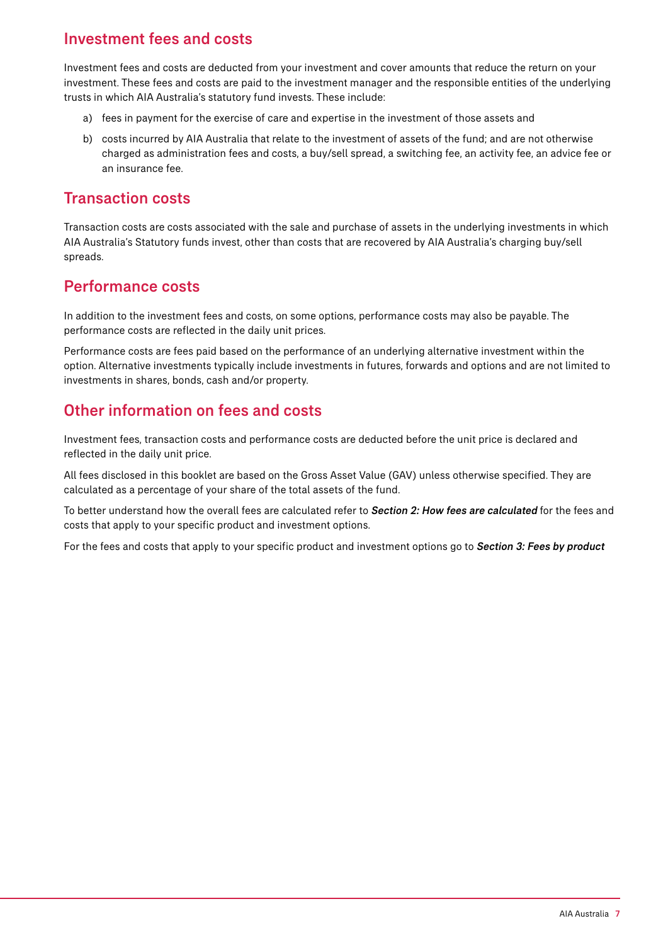### Investment fees and costs

Investment fees and costs are deducted from your investment and cover amounts that reduce the return on your investment. These fees and costs are paid to the investment manager and the responsible entities of the underlying trusts in which AIA Australia's statutory fund invests. These include:

- a) fees in payment for the exercise of care and expertise in the investment of those assets and
- b) costs incurred by AIA Australia that relate to the investment of assets of the fund; and are not otherwise charged as administration fees and costs, a buy/sell spread, a switching fee, an activity fee, an advice fee or an insurance fee.

### Transaction costs

Transaction costs are costs associated with the sale and purchase of assets in the underlying investments in which AIA Australia's Statutory funds invest, other than costs that are recovered by AIA Australia's charging buy/sell spreads.

### Performance costs

In addition to the investment fees and costs, on some options, performance costs may also be payable. The performance costs are reflected in the daily unit prices.

Performance costs are fees paid based on the performance of an underlying alternative investment within the option. Alternative investments typically include investments in futures, forwards and options and are not limited to investments in shares, bonds, cash and/or property.

### Other information on fees and costs

Investment fees, transaction costs and performance costs are deducted before the unit price is declared and reflected in the daily unit price.

All fees disclosed in this booklet are based on the Gross Asset Value (GAV) unless otherwise specified. They are calculated as a percentage of your share of the total assets of the fund.

To better understand how the overall fees are calculated refer to **Section 2: How fees are calculated** for the fees and costs that apply to your specific product and investment options.

For the fees and costs that apply to your specific product and investment options go to Section 3: Fees by product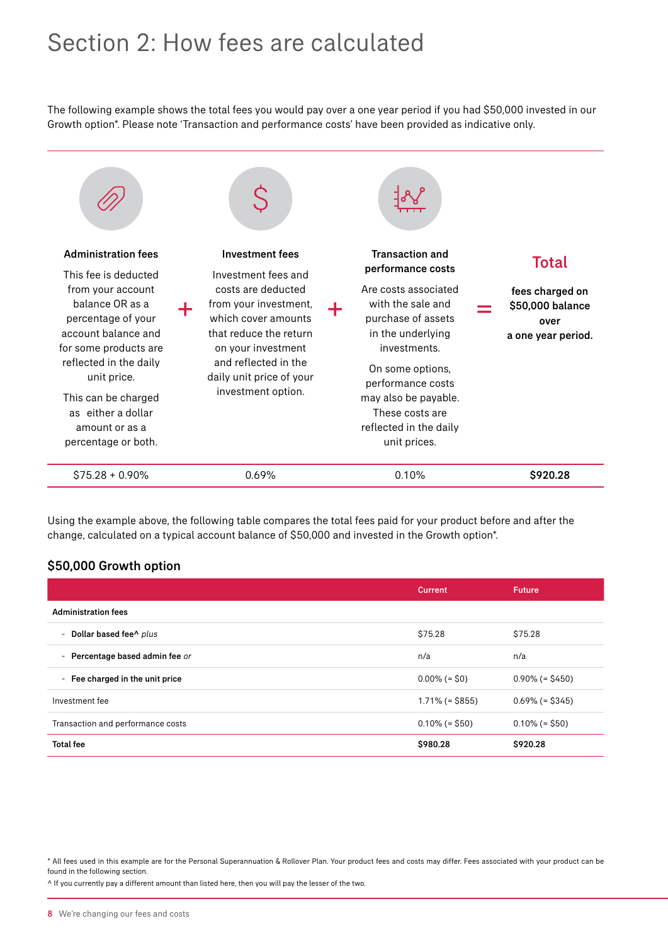## Section 2: How fees are calculated

The following example shows the total fees you would pay over a one year period if you had \$50,000 invested in our Growth option\*. Please note 'Transaction and performance costs' have been provided as indicative only.



Using the example above, the following table compares the total fees paid for your product before and after the change, calculated on a typical account balance of \$50,000 and invested in the Growth option\*.

### \$50,000 Growth option

|                                   | <b>Current</b>     | <b>Future</b>      |
|-----------------------------------|--------------------|--------------------|
| <b>Administration fees</b>        |                    |                    |
| - Dollar based fee^ plus          | \$75.28            | \$75.28            |
| - Percentage based admin fee or   | n/a                | n/a                |
| - Fee charged in the unit price   | $0.00\%$ (= \$0)   | $0.90\%$ (= \$450) |
| Investment fee                    | $1.71\%$ (= \$855) | $0.69\%$ (= \$345) |
| Transaction and performance costs | $0.10\%$ (= \$50)  | $0.10\%$ (= \$50)  |
| <b>Total fee</b>                  | \$980.28           | \$920.28           |

^ If you currently pay a different amount than listed here, then you will pay the lesser of the two.

<sup>\*</sup> All fees used in this example are for the Personal Superannuation & Rollover Plan. Your product fees and costs may differ. Fees associated with your product can be found in the following section.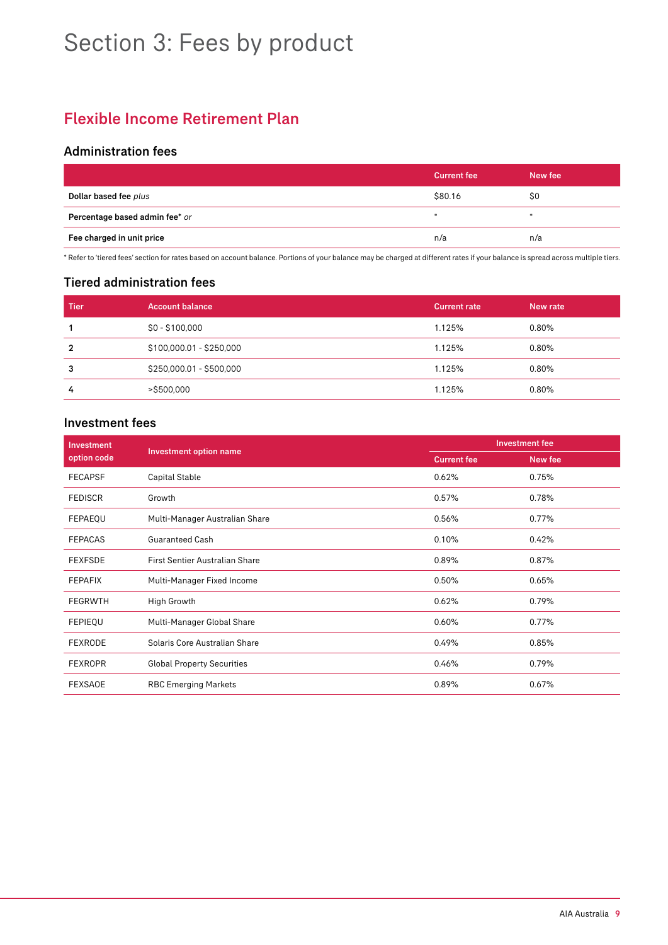## Section 3: Fees by product

### Flexible Income Retirement Plan

#### Administration fees

|                                | <b>Current fee</b> | New fee |
|--------------------------------|--------------------|---------|
| Dollar based fee plus          | \$80.16            | S0      |
| Percentage based admin fee* or |                    |         |
| Fee charged in unit price      | n/a                | n/a     |

\* Refer to 'tiered fees' section for rates based on account balance. Portions of your balance may be charged at different rates if your balance is spread across multiple tiers.

#### Tiered administration fees

| <b>Tier</b> | <b>Account balance</b>   | <b>Current rate</b> | New rate |
|-------------|--------------------------|---------------------|----------|
|             | $$0 - $100,000$          | 1.125%              | 0.80%    |
| 2           | \$100,000.01 - \$250,000 | 1.125%              | 0.80%    |
| 3           | \$250,000.01 - \$500,000 | 1.125%              | 0.80%    |
| 4           | $>$ \$500,000            | 1.125%              | 0.80%    |

| Investment     | <b>Investment option name</b>     | Investment fee     |         |
|----------------|-----------------------------------|--------------------|---------|
| option code    |                                   | <b>Current fee</b> | New fee |
| <b>FECAPSF</b> | <b>Capital Stable</b>             | 0.62%              | 0.75%   |
| <b>FEDISCR</b> | Growth                            | 0.57%              | 0.78%   |
| FEPAEQU        | Multi-Manager Australian Share    | 0.56%              | 0.77%   |
| <b>FEPACAS</b> | <b>Guaranteed Cash</b>            | 0.10%              | 0.42%   |
| <b>FEXFSDE</b> | First Sentier Australian Share    | 0.89%              | 0.87%   |
| <b>FEPAFIX</b> | Multi-Manager Fixed Income        | 0.50%              | 0.65%   |
| <b>FEGRWTH</b> | High Growth                       | 0.62%              | 0.79%   |
| <b>FEPIEQU</b> | Multi-Manager Global Share        | 0.60%              | 0.77%   |
| <b>FEXRODE</b> | Solaris Core Australian Share     | 0.49%              | 0.85%   |
| <b>FEXROPR</b> | <b>Global Property Securities</b> | 0.46%              | 0.79%   |
| <b>FEXSAOE</b> | <b>RBC Emerging Markets</b>       | 0.89%              | 0.67%   |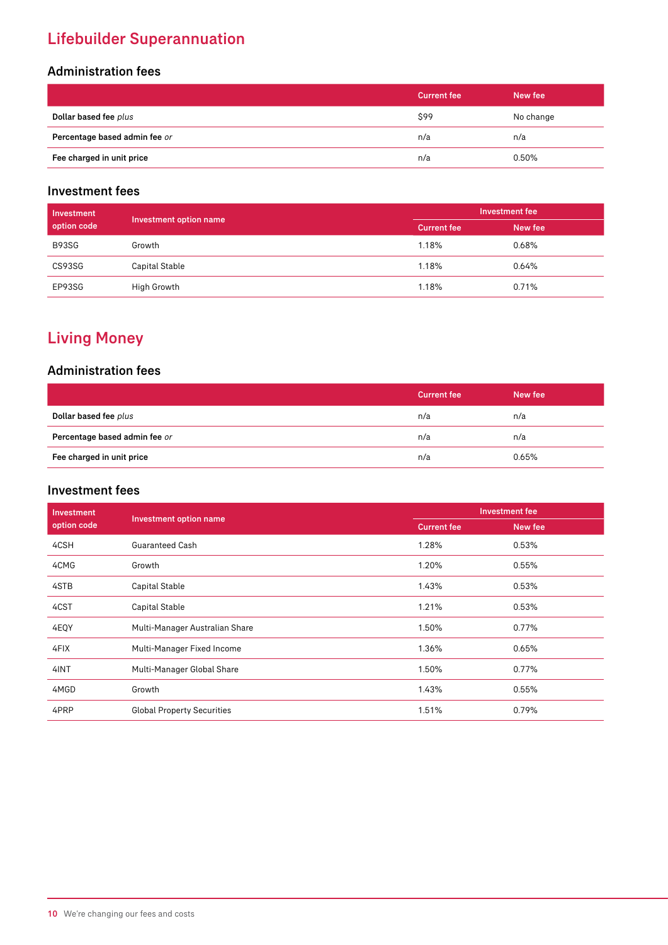### Lifebuilder Superannuation

### Administration fees

|                               | <b>Current fee</b> | New fee   |
|-------------------------------|--------------------|-----------|
| Dollar based fee plus         | \$99               | No change |
| Percentage based admin fee or | n/a                | n/a       |
| Fee charged in unit price     | n/a                | $0.50\%$  |

#### Investment fees

| Investment  | Investment option name | Investment fee     |         |
|-------------|------------------------|--------------------|---------|
| option code |                        | <b>Current fee</b> | New fee |
| B93SG       | Growth                 | 1.18%              | 0.68%   |
| CS93SG      | Capital Stable         | 1.18%              | 0.64%   |
| EP93SG      | High Growth            | 1.18%              | 0.71%   |

### Living Money

### Administration fees

|                               | <b>Current fee</b> | New fee |
|-------------------------------|--------------------|---------|
| Dollar based fee plus         | n/a                | n/a     |
| Percentage based admin fee or | n/a                | n/a     |
| Fee charged in unit price     | n/a                | 0.65%   |

| Investment  | <b>Investment option name</b>     | Investment fee     |         |
|-------------|-----------------------------------|--------------------|---------|
| option code |                                   | <b>Current fee</b> | New fee |
| 4CSH        | <b>Guaranteed Cash</b>            | 1.28%              | 0.53%   |
| 4CMG        | Growth                            | 1.20%              | 0.55%   |
| 4STB        | <b>Capital Stable</b>             | 1.43%              | 0.53%   |
| 4CST        | <b>Capital Stable</b>             | 1.21%              | 0.53%   |
| 4EQY        | Multi-Manager Australian Share    | 1.50%              | 0.77%   |
| 4FIX        | Multi-Manager Fixed Income        | 1.36%              | 0.65%   |
| 4INT        | Multi-Manager Global Share        | 1.50%              | 0.77%   |
| 4MGD        | Growth                            | 1.43%              | 0.55%   |
| 4PRP        | <b>Global Property Securities</b> | 1.51%              | 0.79%   |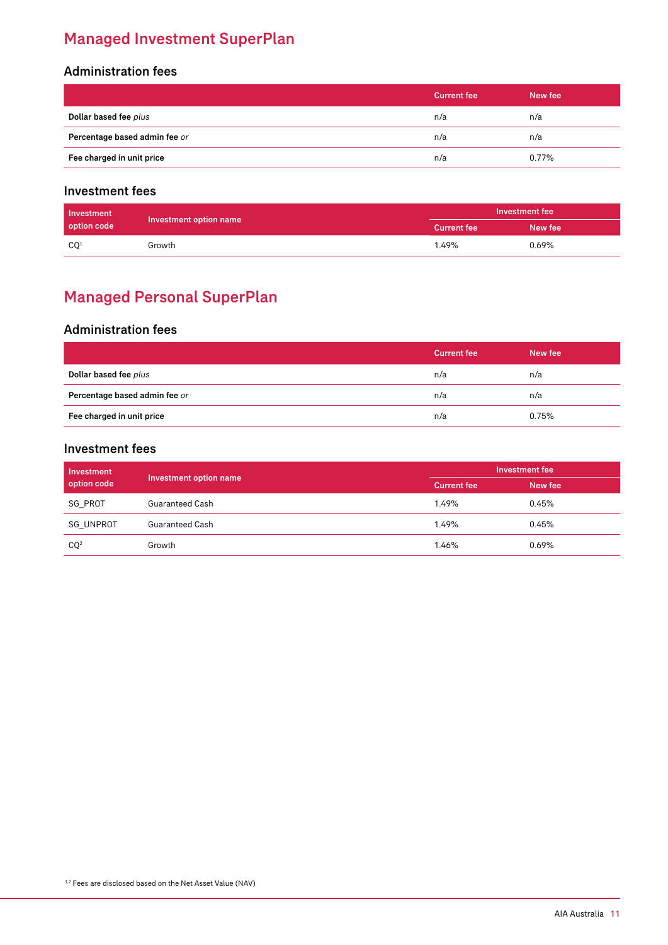### Managed Investment SuperPlan

### Administration fees

|                               | <b>Current fee</b> | New fee |
|-------------------------------|--------------------|---------|
| Dollar based fee plus         | n/a                | n/a     |
| Percentage based admin fee or | n/a                | n/a     |
| Fee charged in unit price     | n/a                | 0.77%   |

### Investment fees

| I Investment    | Investment option name | Investment fee |       |
|-----------------|------------------------|----------------|-------|
| option code     | <b>Current fee</b>     | New fee        |       |
| CQ <sup>1</sup> | Growth                 | 1.49%          | 0.69% |

### Managed Personal SuperPlan

#### Administration fees

|                               | <b>Current fee</b> | New fee |
|-------------------------------|--------------------|---------|
| Dollar based fee plus         | n/a                | n/a     |
| Percentage based admin fee or | n/a                | n/a     |
| Fee charged in unit price     | n/a                | 0.75%   |

| Investment<br>option code |                        | Investment fee                |       |
|---------------------------|------------------------|-------------------------------|-------|
|                           | Investment option name | New fee<br><b>Current fee</b> |       |
| SG PROT                   | <b>Guaranteed Cash</b> | 1.49%                         | 0.45% |
| SG UNPROT                 | <b>Guaranteed Cash</b> | 1.49%                         | 0.45% |
| CQ <sup>2</sup>           | Growth                 | 1.46%                         | 0.69% |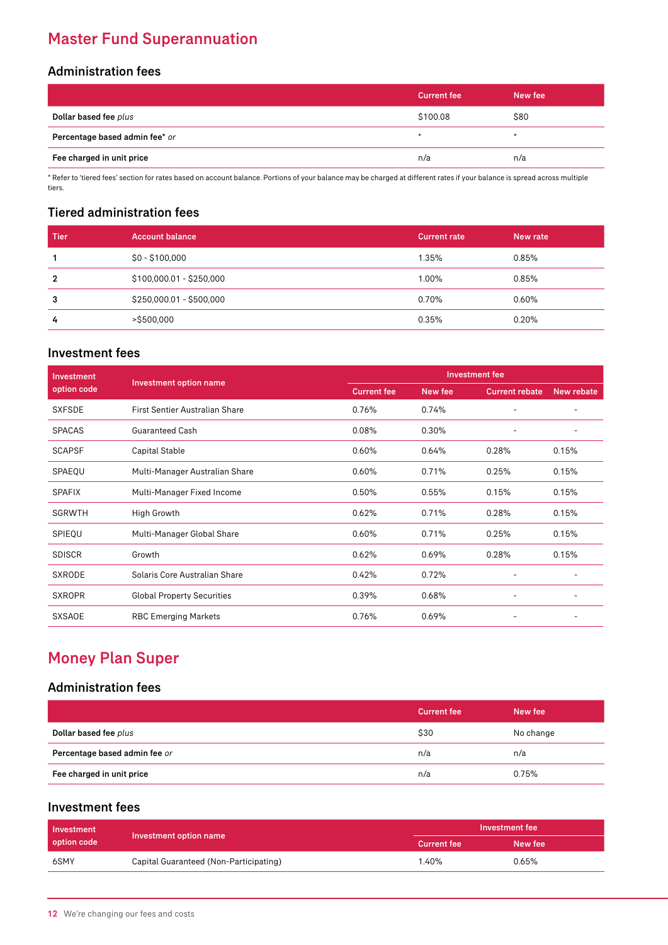### Master Fund Superannuation

#### Administration fees

|                                | <b>Current fee</b> | New fee |
|--------------------------------|--------------------|---------|
| Dollar based fee plus          | \$100.08           | \$80    |
| Percentage based admin fee* or | $\star$            | ×       |
| Fee charged in unit price      | n/a                | n/a     |

\* Refer to 'tiered fees' section for rates based on account balance. Portions of your balance may be charged at different rates if your balance is spread across multiple tiers.

#### Tiered administration fees

| <b>Tier</b>  | <b>Account balance</b>   | <b>Current rate</b> | New rate |
|--------------|--------------------------|---------------------|----------|
|              | $$0 - $100,000$          | 1.35%               | 0.85%    |
| $\mathbf{2}$ | \$100,000.01 - \$250,000 | 1.00%               | 0.85%    |
| 3            | \$250,000.01 - \$500,000 | 0.70%               | 0.60%    |
| 4            | $>$ \$500,000            | 0.35%               | 0.20%    |

#### Investment fees

| Investment    | <b>Investment option name</b>     |                    | Investment fee |                       |            |
|---------------|-----------------------------------|--------------------|----------------|-----------------------|------------|
| option code   |                                   | <b>Current fee</b> | New fee        | <b>Current rebate</b> | New rebate |
| <b>SXFSDE</b> | First Sentier Australian Share    | 0.76%              | 0.74%          |                       |            |
| <b>SPACAS</b> | Guaranteed Cash                   | 0.08%              | 0.30%          |                       |            |
| <b>SCAPSF</b> | Capital Stable                    | 0.60%              | 0.64%          | 0.28%                 | 0.15%      |
| SPAEQU        | Multi-Manager Australian Share    | 0.60%              | 0.71%          | 0.25%                 | 0.15%      |
| <b>SPAFIX</b> | Multi-Manager Fixed Income        | 0.50%              | 0.55%          | 0.15%                 | 0.15%      |
| <b>SGRWTH</b> | High Growth                       | 0.62%              | 0.71%          | 0.28%                 | 0.15%      |
| SPIEQU        | Multi-Manager Global Share        | 0.60%              | 0.71%          | 0.25%                 | 0.15%      |
| <b>SDISCR</b> | Growth                            | 0.62%              | 0.69%          | 0.28%                 | 0.15%      |
| <b>SXRODE</b> | Solaris Core Australian Share     | 0.42%              | 0.72%          |                       |            |
| <b>SXROPR</b> | <b>Global Property Securities</b> | 0.39%              | 0.68%          |                       |            |
| <b>SXSAOE</b> | <b>RBC Emerging Markets</b>       | 0.76%              | 0.69%          |                       |            |

### Money Plan Super

### Administration fees

|                               | <b>Current fee</b> | New fee   |
|-------------------------------|--------------------|-----------|
| Dollar based fee plus         | \$30               | No change |
| Percentage based admin fee or | n/a                | n/a       |
| Fee charged in unit price     | n/a                | 0.75%     |

| Investment<br>option code |                                        |                    | Investment fee |
|---------------------------|----------------------------------------|--------------------|----------------|
|                           | Investment option name                 | <b>Current fee</b> | New fee        |
| 6SMY                      | Capital Guaranteed (Non-Participating) | 1.40%              | 0.65%          |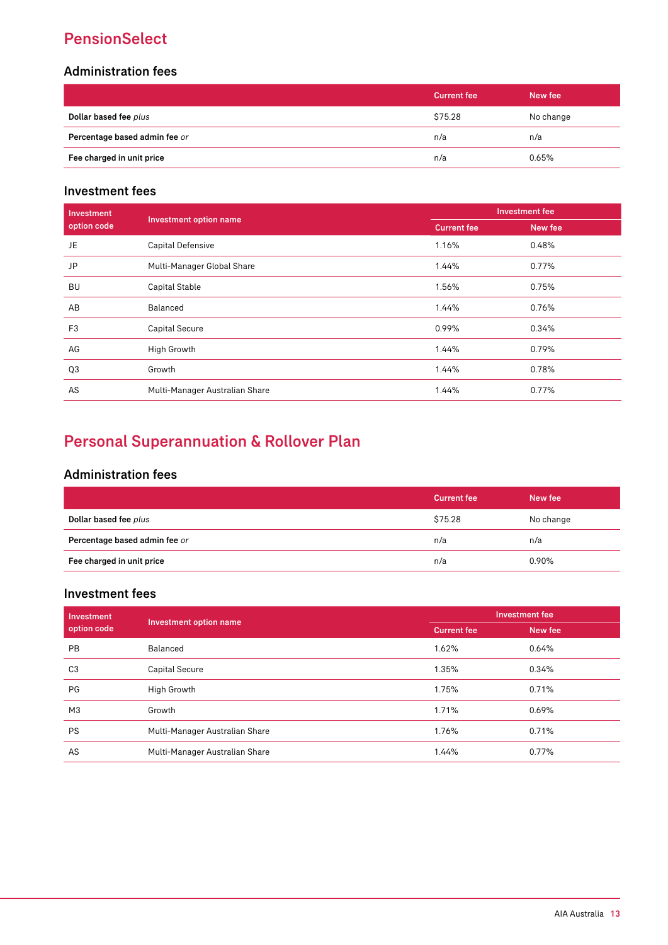### **PensionSelect**

### Administration fees

|                               | <b>Current fee</b> | New fee   |
|-------------------------------|--------------------|-----------|
| Dollar based fee plus         | \$75.28            | No change |
| Percentage based admin fee or | n/a                | n/a       |
| Fee charged in unit price     | n/a                | 0.65%     |

#### Investment fees

| Investment     | Investment option name         | <b>Investment fee</b> |         |
|----------------|--------------------------------|-----------------------|---------|
| option code    |                                | <b>Current fee</b>    | New fee |
| JE.            | <b>Capital Defensive</b>       | 1.16%                 | 0.48%   |
| <b>JP</b>      | Multi-Manager Global Share     | 1.44%                 | 0.77%   |
| <b>BU</b>      | <b>Capital Stable</b>          | 1.56%                 | 0.75%   |
| AB             | Balanced                       | 1.44%                 | 0.76%   |
| F <sub>3</sub> | <b>Capital Secure</b>          | 0.99%                 | 0.34%   |
| AG             | High Growth                    | 1.44%                 | 0.79%   |
| Q <sub>3</sub> | Growth                         | 1.44%                 | 0.78%   |
| AS             | Multi-Manager Australian Share | 1.44%                 | 0.77%   |

### Personal Superannuation & Rollover Plan

#### Administration fees

|                               | <b>Current fee</b> | New fee   |
|-------------------------------|--------------------|-----------|
| Dollar based fee plus         | \$75.28            | No change |
| Percentage based admin fee or | n/a                | n/a       |
| Fee charged in unit price     | n/a                | 0.90%     |

| Investment     |                                | Investment fee     |         |
|----------------|--------------------------------|--------------------|---------|
| option code    | Investment option name         | <b>Current fee</b> | New fee |
| PB             | Balanced                       | 1.62%              | 0.64%   |
| C <sub>3</sub> | <b>Capital Secure</b>          | 1.35%              | 0.34%   |
| PG             | High Growth                    | 1.75%              | 0.71%   |
| M <sub>3</sub> | Growth                         | 1.71%              | 0.69%   |
| <b>PS</b>      | Multi-Manager Australian Share | 1.76%              | 0.71%   |
| AS             | Multi-Manager Australian Share | 1.44%              | 0.77%   |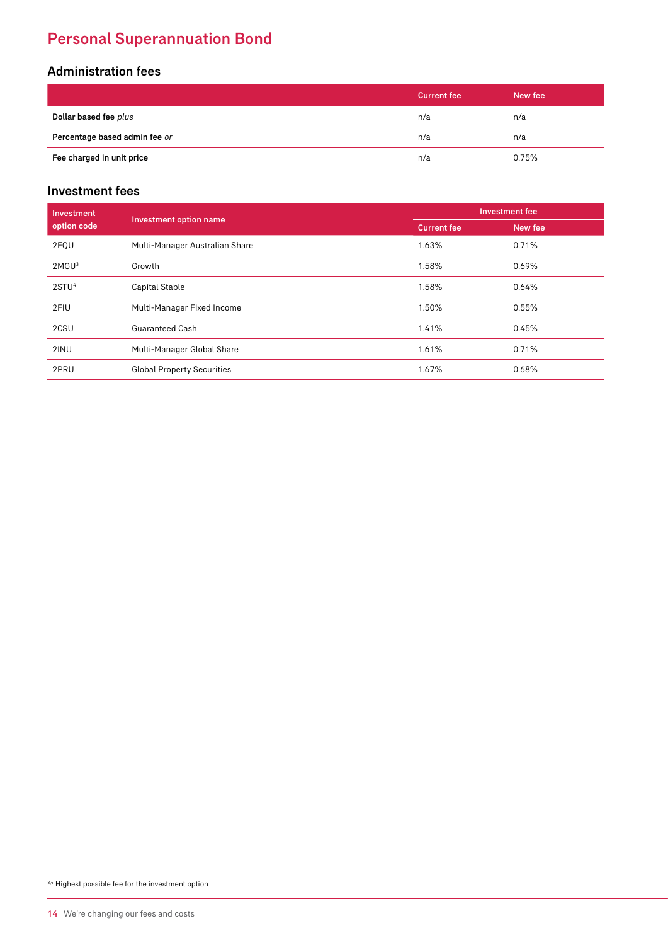### Personal Superannuation Bond

### Administration fees

|                               | <b>Current fee</b> | New fee |
|-------------------------------|--------------------|---------|
| Dollar based fee plus         | n/a                | n/a     |
| Percentage based admin fee or | n/a                | n/a     |
| Fee charged in unit price     | n/a                | 0.75%   |

#### Investment fees

| Investment        |                                   | Investment fee     |         |
|-------------------|-----------------------------------|--------------------|---------|
| option code       | Investment option name            | <b>Current fee</b> | New fee |
| 2EQU              | Multi-Manager Australian Share    | 1.63%              | 0.71%   |
| 2MGU <sup>3</sup> | Growth                            | 1.58%              | 0.69%   |
| 2STU <sup>4</sup> | <b>Capital Stable</b>             | 1.58%              | 0.64%   |
| 2FIU              | Multi-Manager Fixed Income        | 1.50%              | 0.55%   |
| 2CSU              | <b>Guaranteed Cash</b>            | 1.41%              | 0.45%   |
| 2INU              | Multi-Manager Global Share        | 1.61%              | 0.71%   |
| 2PRU              | <b>Global Property Securities</b> | 1.67%              | 0.68%   |

3,4 Highest possible fee for the investment option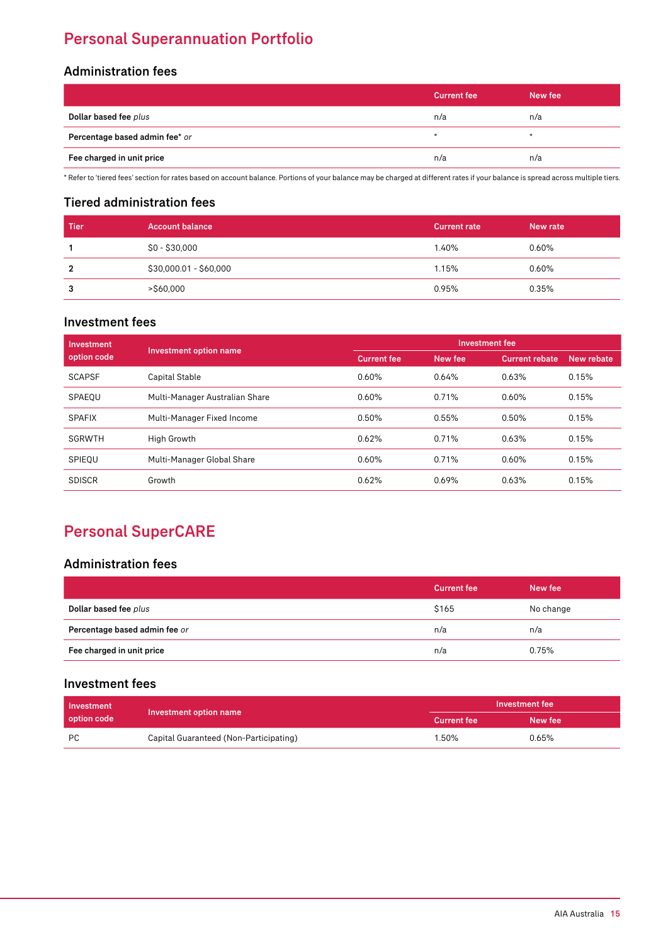### Personal Superannuation Portfolio

### Administration fees

|                                | <b>Current fee</b> | New fee |
|--------------------------------|--------------------|---------|
| Dollar based fee plus          | n/a                | n/a     |
| Percentage based admin fee* or |                    |         |
| Fee charged in unit price      | n/a                | n/a     |

\* Refer to 'tiered fees' section for rates based on account balance. Portions of your balance may be charged at different rates if your balance is spread across multiple tiers.

### Tiered administration fees

| <b>Tier</b> | <b>Account balance</b> | <b>Current rate</b> | New rate |
|-------------|------------------------|---------------------|----------|
|             | $$0 - $30,000$         | 1.40%               | 0.60%    |
| 2           | \$30,000.01 - \$60,000 | 1.15%               | 0.60%    |
| 3           | $>$ \$60,000           | 0.95%               | 0.35%    |

#### Investment fees

| Investment    | Investment option name         | Investment fee                |                       |            |       |
|---------------|--------------------------------|-------------------------------|-----------------------|------------|-------|
| option code   |                                | <b>Current fee</b><br>New fee | <b>Current rebate</b> | New rebate |       |
| <b>SCAPSF</b> | <b>Capital Stable</b>          | 0.60%                         | 0.64%                 | 0.63%      | 0.15% |
| SPAEOU        | Multi-Manager Australian Share | 0.60%                         | 0.71%                 | 0.60%      | 0.15% |
| <b>SPAFIX</b> | Multi-Manager Fixed Income     | 0.50%                         | 0.55%                 | 0.50%      | 0.15% |
| <b>SGRWTH</b> | <b>High Growth</b>             | 0.62%                         | 0.71%                 | 0.63%      | 0.15% |
| SPIEOU        | Multi-Manager Global Share     | 0.60%                         | 0.71%                 | 0.60%      | 0.15% |
| <b>SDISCR</b> | Growth                         | 0.62%                         | 0.69%                 | 0.63%      | 0.15% |

### Personal SuperCARE

#### Administration fees

|                               | <b>Current fee</b> | New fee   |
|-------------------------------|--------------------|-----------|
| Dollar based fee plus         | \$165              | No change |
| Percentage based admin fee or | n/a                | n/a       |
| Fee charged in unit price     | n/a                | 0.75%     |

| Investment<br>option code | Investment option name                 |                    | Investment fee |
|---------------------------|----------------------------------------|--------------------|----------------|
|                           |                                        | <b>Current fee</b> | New fee        |
| <b>PC</b>                 | Capital Guaranteed (Non-Participating) | 1.50%              | 0.65%          |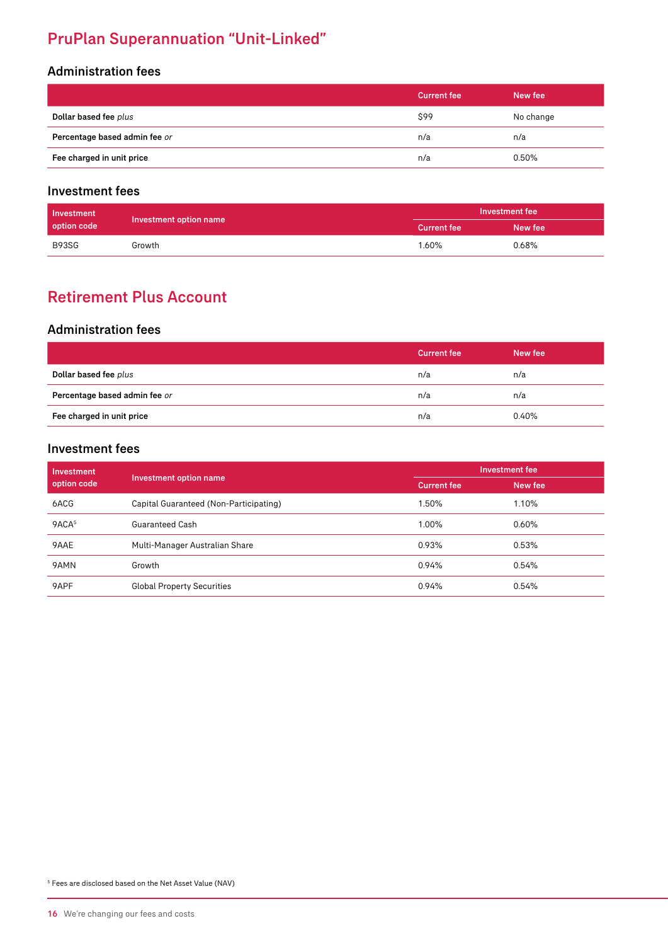### PruPlan Superannuation "Unit-Linked"

#### Administration fees

|                               | <b>Current fee</b> | New fee   |
|-------------------------------|--------------------|-----------|
| Dollar based fee plus         | \$99               | No change |
| Percentage based admin fee or | n/a                | n/a       |
| Fee charged in unit price     | n/a                | 0.50%     |

#### Investment fees

| Investment<br>option code | Investment option name |                    | Investment fee |
|---------------------------|------------------------|--------------------|----------------|
|                           |                        | <b>Current fee</b> | New fee        |
| B93SG                     | Growth                 | 1.60%              | 0.68%          |

### Retirement Plus Account

#### Administration fees

|                               | <b>Current fee</b> | New fee |
|-------------------------------|--------------------|---------|
| Dollar based fee plus         | n/a                | n/a     |
| Percentage based admin fee or | n/a                | n/a     |
| Fee charged in unit price     | n/a                | 0.40%   |

### Investment fees

| Investment<br>option code |                                        | Investment fee     |         |
|---------------------------|----------------------------------------|--------------------|---------|
|                           | Investment option name                 | <b>Current fee</b> | New fee |
| 6ACG                      | Capital Guaranteed (Non-Participating) | 1.50%              | 1.10%   |
| 9ACA <sup>5</sup>         | Guaranteed Cash                        | 1.00%              | 0.60%   |
| 9AAE                      | Multi-Manager Australian Share         | 0.93%              | 0.53%   |
| 9AMN                      | Growth                                 | 0.94%              | 0.54%   |
| 9APF                      | <b>Global Property Securities</b>      | 0.94%              | 0.54%   |

5 Fees are disclosed based on the Net Asset Value (NAV)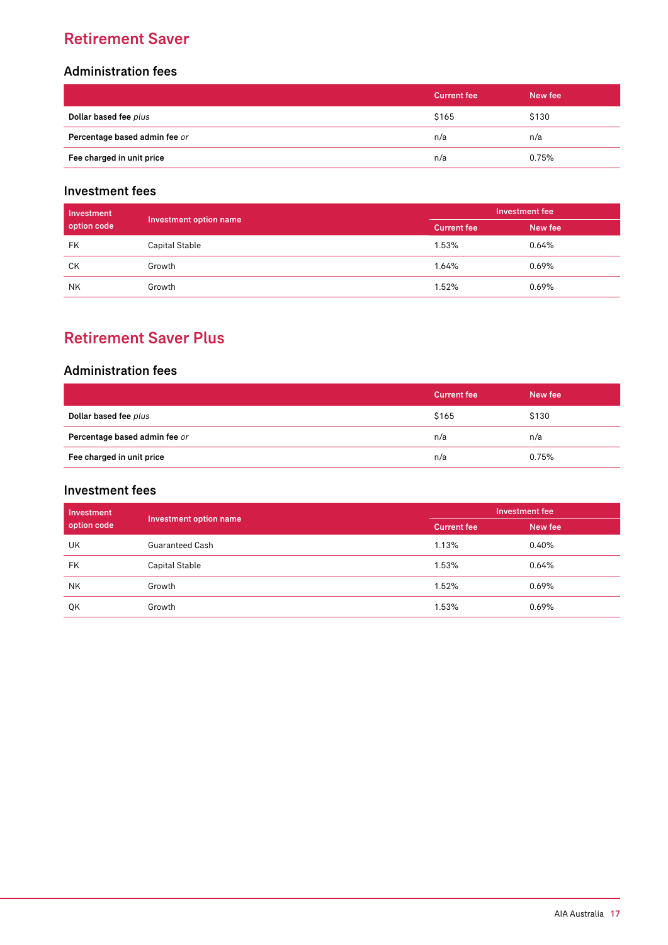### Retirement Saver

### Administration fees

|                               | <b>Current fee</b> | New fee |
|-------------------------------|--------------------|---------|
| Dollar based fee plus         | \$165              | \$130   |
| Percentage based admin fee or | n/a                | n/a     |
| Fee charged in unit price     | n/a                | 0.75%   |

### Investment fees

| Investment<br>option code | Investment option name | Investment fee<br>New fee<br><b>Current fee</b> |       |
|---------------------------|------------------------|-------------------------------------------------|-------|
|                           |                        |                                                 |       |
| <b>FK</b>                 | Capital Stable         | 1.53%                                           | 0.64% |
| <b>CK</b>                 | Growth                 | 1.64%                                           | 0.69% |
| <b>NK</b>                 | Growth                 | 1.52%                                           | 0.69% |

### Retirement Saver Plus

### Administration fees

|                               | <b>Current fee</b> | New fee |
|-------------------------------|--------------------|---------|
| Dollar based fee plus         | \$165              | \$130   |
| Percentage based admin fee or | n/a                | n/a     |
| Fee charged in unit price     | n/a                | 0.75%   |

| Investment<br>option code | Investment option name | Investment fee     |         |  |
|---------------------------|------------------------|--------------------|---------|--|
|                           |                        | <b>Current fee</b> | New fee |  |
| UK                        | <b>Guaranteed Cash</b> | 1.13%              | 0.40%   |  |
| <b>FK</b>                 | Capital Stable         | 1.53%              | 0.64%   |  |
| <b>NK</b>                 | Growth                 | 1.52%              | 0.69%   |  |
| QK                        | Growth                 | 1.53%              | 0.69%   |  |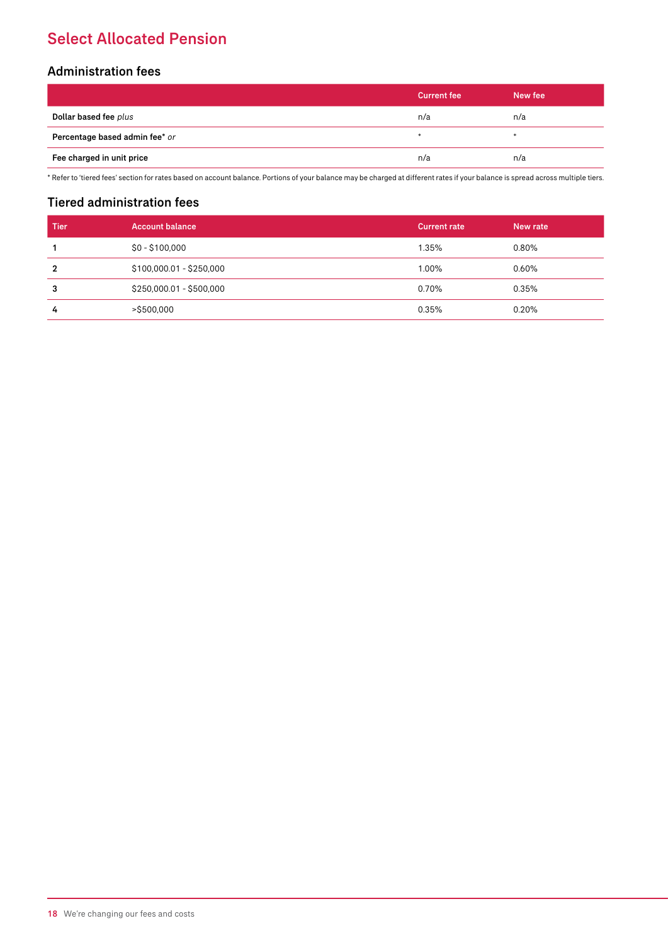### Select Allocated Pension

#### Administration fees

|                                | <b>Current fee</b> | New fee |
|--------------------------------|--------------------|---------|
| Dollar based fee plus          | n/a                | n/a     |
| Percentage based admin fee* or | $\mathbf{r}$       |         |
| Fee charged in unit price      | n/a                | n/a     |

\* Refer to 'tiered fees' section for rates based on account balance. Portions of your balance may be charged at different rates if your balance is spread across multiple tiers.

#### Tiered administration fees

| <b>Tier</b> | <b>Account balance</b>   | <b>Current rate</b> | New rate |
|-------------|--------------------------|---------------------|----------|
|             | $$0 - $100,000$          | 1.35%               | 0.80%    |
| 2           | \$100,000.01 - \$250,000 | 1.00%               | 0.60%    |
| 3           | \$250,000.01 - \$500,000 | 0.70%               | 0.35%    |
| 4           | $>$ \$500,000            | 0.35%               | 0.20%    |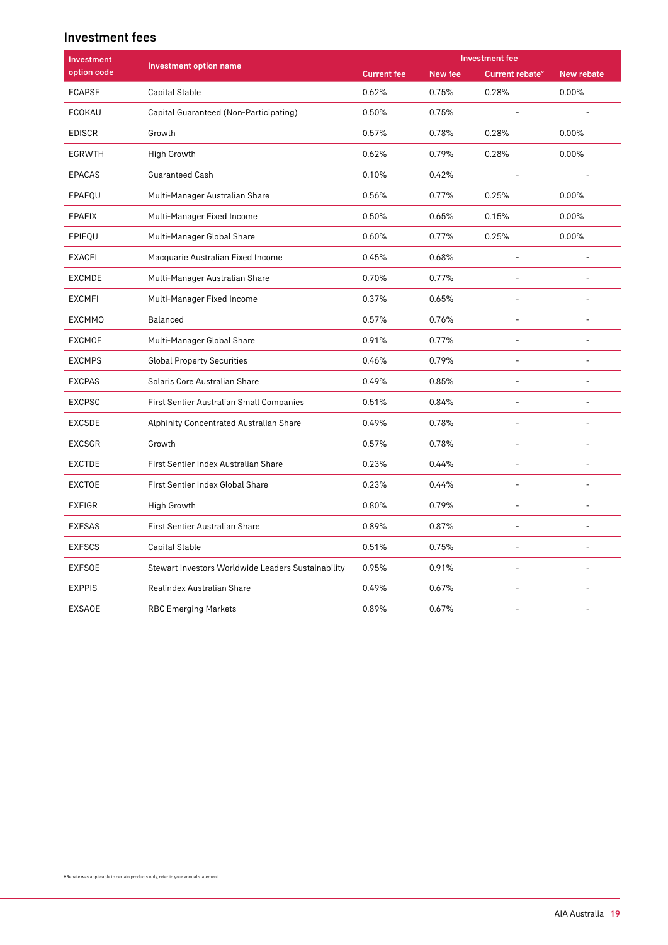| Investment    | <b>Investment option name</b>                      | <b>Investment fee</b> |         |                          |                |
|---------------|----------------------------------------------------|-----------------------|---------|--------------------------|----------------|
| option code   |                                                    | <b>Current fee</b>    | New fee | Current rebate°          | New rebate     |
| <b>ECAPSF</b> | Capital Stable                                     | 0.62%                 | 0.75%   | 0.28%                    | 0.00%          |
| <b>ECOKAU</b> | Capital Guaranteed (Non-Participating)             | 0.50%                 | 0.75%   |                          |                |
| <b>EDISCR</b> | Growth                                             | 0.57%                 | 0.78%   | 0.28%                    | 0.00%          |
| EGRWTH        | High Growth                                        | 0.62%                 | 0.79%   | 0.28%                    | 0.00%          |
| <b>EPACAS</b> | <b>Guaranteed Cash</b>                             | 0.10%                 | 0.42%   |                          |                |
| EPAEQU        | Multi-Manager Australian Share                     | 0.56%                 | 0.77%   | 0.25%                    | 0.00%          |
| <b>EPAFIX</b> | Multi-Manager Fixed Income                         | 0.50%                 | 0.65%   | 0.15%                    | 0.00%          |
| EPIEQU        | Multi-Manager Global Share                         | 0.60%                 | 0.77%   | 0.25%                    | 0.00%          |
| <b>EXACFI</b> | Macquarie Australian Fixed Income                  | 0.45%                 | 0.68%   |                          |                |
| <b>EXCMDE</b> | Multi-Manager Australian Share                     | 0.70%                 | 0.77%   | $\overline{\phantom{a}}$ |                |
| <b>EXCMFI</b> | Multi-Manager Fixed Income                         | 0.37%                 | 0.65%   | $\overline{a}$           |                |
| <b>EXCMMO</b> | Balanced                                           | 0.57%                 | 0.76%   | ÷,                       | $\equiv$       |
| <b>EXCMOE</b> | Multi-Manager Global Share                         | 0.91%                 | 0.77%   | J.                       | ÷,             |
| <b>EXCMPS</b> | <b>Global Property Securities</b>                  | 0.46%                 | 0.79%   |                          |                |
| <b>EXCPAS</b> | Solaris Core Australian Share                      | 0.49%                 | 0.85%   | L,                       |                |
| <b>EXCPSC</b> | <b>First Sentier Australian Small Companies</b>    | 0.51%                 | 0.84%   |                          |                |
| <b>EXCSDE</b> | Alphinity Concentrated Australian Share            | 0.49%                 | 0.78%   | Ē,                       |                |
| <b>EXCSGR</b> | Growth                                             | 0.57%                 | 0.78%   | L,                       |                |
| <b>EXCTDE</b> | First Sentier Index Australian Share               | 0.23%                 | 0.44%   | $\sim$                   | ÷.             |
| <b>EXCTOE</b> | First Sentier Index Global Share                   | 0.23%                 | 0.44%   |                          |                |
| <b>EXFIGR</b> | High Growth                                        | 0.80%                 | 0.79%   | ÷,                       |                |
| <b>EXFSAS</b> | First Sentier Australian Share                     | 0.89%                 | 0.87%   | $\overline{\phantom{a}}$ | ÷,             |
| <b>EXFSCS</b> | Capital Stable                                     | 0.51%                 | 0.75%   |                          |                |
| <b>EXFSOE</b> | Stewart Investors Worldwide Leaders Sustainability | 0.95%                 | 0.91%   | $\overline{\phantom{a}}$ |                |
| <b>EXPPIS</b> | Realindex Australian Share                         | 0.49%                 | 0.67%   | $\sim$                   | $\overline{a}$ |
| EXSAOE        | <b>RBC Emerging Markets</b>                        | 0.89%                 | 0.67%   | ÷,                       |                |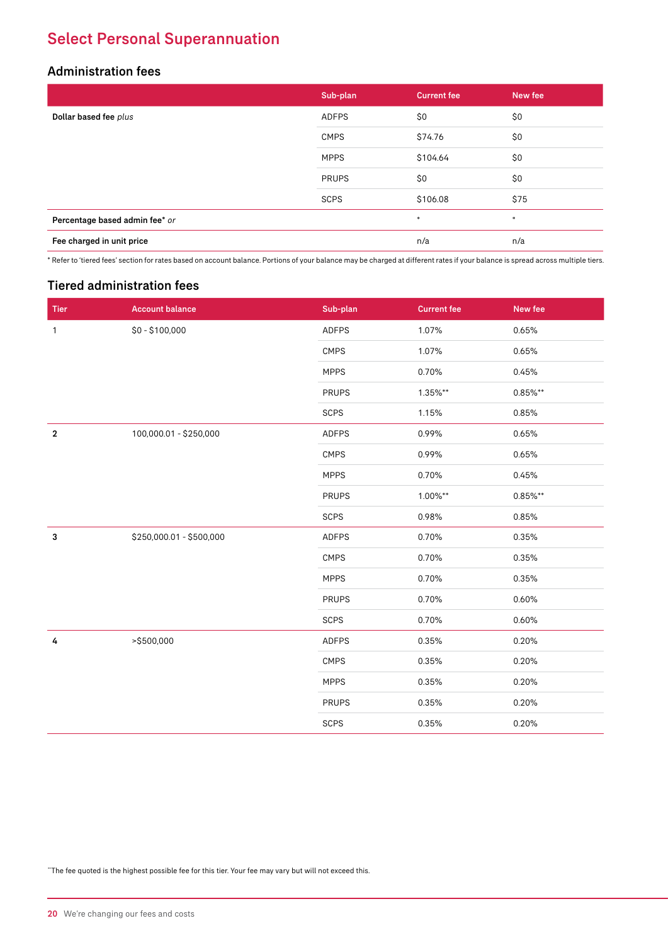### Select Personal Superannuation

#### Administration fees

|                                | Sub-plan     | <b>Current fee</b> | New fee |
|--------------------------------|--------------|--------------------|---------|
| Dollar based fee plus          | <b>ADFPS</b> | \$0                | \$0     |
|                                | <b>CMPS</b>  | \$74.76            | \$0     |
|                                | <b>MPPS</b>  | \$104.64           | \$0     |
|                                | <b>PRUPS</b> | \$0                | \$0     |
|                                | <b>SCPS</b>  | \$106.08           | \$75    |
| Percentage based admin fee* or |              | $\ast$             | $\ast$  |
| Fee charged in unit price      |              | n/a                | n/a     |

\* Refer to 'tiered fees' section for rates based on account balance. Portions of your balance may be charged at different rates if your balance is spread across multiple tiers.

### Tiered administration fees

| Tier           | <b>Account balance</b>   | Sub-plan     | <b>Current fee</b> | New fee     |
|----------------|--------------------------|--------------|--------------------|-------------|
| $\mathbf{1}$   | $$0 - $100,000$          | ADFPS        | 1.07%              | 0.65%       |
|                |                          | <b>CMPS</b>  | 1.07%              | 0.65%       |
|                |                          | <b>MPPS</b>  | 0.70%              | 0.45%       |
|                |                          | <b>PRUPS</b> | 1.35%**            | $0.85\%$ ** |
|                |                          | <b>SCPS</b>  | 1.15%              | 0.85%       |
| $\overline{2}$ | 100,000.01 - \$250,000   | ADFPS        | 0.99%              | 0.65%       |
|                |                          | <b>CMPS</b>  | 0.99%              | 0.65%       |
|                |                          | <b>MPPS</b>  | 0.70%              | 0.45%       |
|                |                          | <b>PRUPS</b> | 1.00%**            | $0.85\%$ ** |
|                |                          | <b>SCPS</b>  | 0.98%              | 0.85%       |
| 3              | \$250,000.01 - \$500,000 | <b>ADFPS</b> | 0.70%              | 0.35%       |
|                |                          | <b>CMPS</b>  | 0.70%              | 0.35%       |
|                |                          | <b>MPPS</b>  | 0.70%              | 0.35%       |
|                |                          | <b>PRUPS</b> | 0.70%              | 0.60%       |
|                |                          | <b>SCPS</b>  | 0.70%              | 0.60%       |
| 4              | >\$500,000               | <b>ADFPS</b> | 0.35%              | 0.20%       |
|                |                          | CMPS         | 0.35%              | 0.20%       |
|                |                          | <b>MPPS</b>  | 0.35%              | 0.20%       |
|                |                          | <b>PRUPS</b> | 0.35%              | 0.20%       |
|                |                          | <b>SCPS</b>  | 0.35%              | 0.20%       |

\*\*The fee quoted is the highest possible fee for this tier. Your fee may vary but will not exceed this.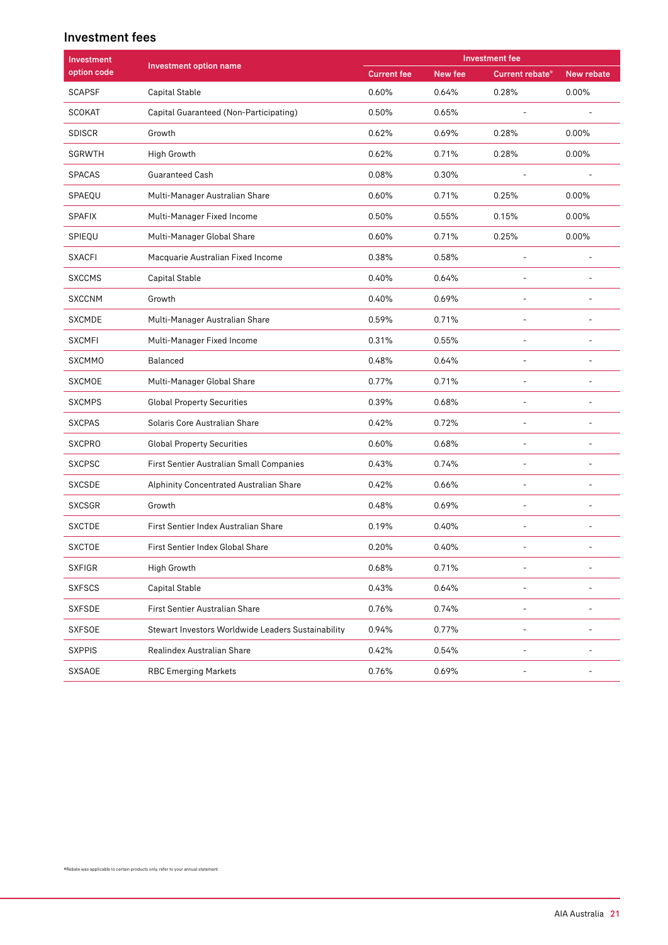| Investment    | <b>Investment option name</b>                      | <b>Investment fee</b> |         |                 |                          |
|---------------|----------------------------------------------------|-----------------------|---------|-----------------|--------------------------|
| option code   |                                                    | <b>Current fee</b>    | New fee | Current rebate° | New rebate               |
| <b>SCAPSF</b> | <b>Capital Stable</b>                              | 0.60%                 | 0.64%   | 0.28%           | 0.00%                    |
| <b>SCOKAT</b> | Capital Guaranteed (Non-Participating)             | 0.50%                 | 0.65%   |                 |                          |
| <b>SDISCR</b> | Growth                                             | 0.62%                 | 0.69%   | 0.28%           | 0.00%                    |
| <b>SGRWTH</b> | High Growth                                        | 0.62%                 | 0.71%   | 0.28%           | 0.00%                    |
| <b>SPACAS</b> | <b>Guaranteed Cash</b>                             | 0.08%                 | 0.30%   |                 |                          |
| SPAEQU        | Multi-Manager Australian Share                     | 0.60%                 | 0.71%   | 0.25%           | 0.00%                    |
| <b>SPAFIX</b> | Multi-Manager Fixed Income                         | 0.50%                 | 0.55%   | 0.15%           | 0.00%                    |
| SPIEQU        | Multi-Manager Global Share                         | 0.60%                 | 0.71%   | 0.25%           | 0.00%                    |
| <b>SXACFI</b> | Macquarie Australian Fixed Income                  | 0.38%                 | 0.58%   |                 |                          |
| <b>SXCCMS</b> | Capital Stable                                     | 0.40%                 | 0.64%   |                 |                          |
| <b>SXCCNM</b> | Growth                                             | 0.40%                 | 0.69%   |                 |                          |
| <b>SXCMDE</b> | Multi-Manager Australian Share                     | 0.59%                 | 0.71%   |                 |                          |
| <b>SXCMFI</b> | Multi-Manager Fixed Income                         | 0.31%                 | 0.55%   |                 |                          |
| <b>SXCMMO</b> | Balanced                                           | 0.48%                 | 0.64%   |                 |                          |
| <b>SXCMOE</b> | Multi-Manager Global Share                         | 0.77%                 | 0.71%   |                 |                          |
| <b>SXCMPS</b> | <b>Global Property Securities</b>                  | 0.39%                 | 0.68%   | $\overline{a}$  | $\overline{a}$           |
| <b>SXCPAS</b> | Solaris Core Australian Share                      | 0.42%                 | 0.72%   |                 |                          |
| <b>SXCPRO</b> | <b>Global Property Securities</b>                  | 0.60%                 | 0.68%   | $\blacksquare$  | $\overline{\phantom{m}}$ |
| <b>SXCPSC</b> | First Sentier Australian Small Companies           | 0.43%                 | 0.74%   |                 |                          |
| <b>SXCSDE</b> | Alphinity Concentrated Australian Share            | 0.42%                 | 0.66%   | ä,              | $\overline{a}$           |
| <b>SXCSGR</b> | Growth                                             | 0.48%                 | 0.69%   |                 | L,                       |
| <b>SXCTDE</b> | First Sentier Index Australian Share               | 0.19%                 | 0.40%   | ٠               | $\overline{a}$           |
| <b>SXCTOE</b> | First Sentier Index Global Share                   | 0.20%                 | 0.40%   |                 |                          |
| <b>SXFIGR</b> | High Growth                                        | 0.68%                 | 0.71%   |                 |                          |
| <b>SXFSCS</b> | <b>Capital Stable</b>                              | 0.43%                 | 0.64%   |                 |                          |
| <b>SXFSDE</b> | First Sentier Australian Share                     | 0.76%                 | 0.74%   |                 |                          |
| <b>SXFSOE</b> | Stewart Investors Worldwide Leaders Sustainability | 0.94%                 | 0.77%   |                 |                          |
| <b>SXPPIS</b> | Realindex Australian Share                         | 0.42%                 | 0.54%   | ÷,              | L,                       |
| <b>SXSAOE</b> | <b>RBC Emerging Markets</b>                        | 0.76%                 | 0.69%   | ÷,              |                          |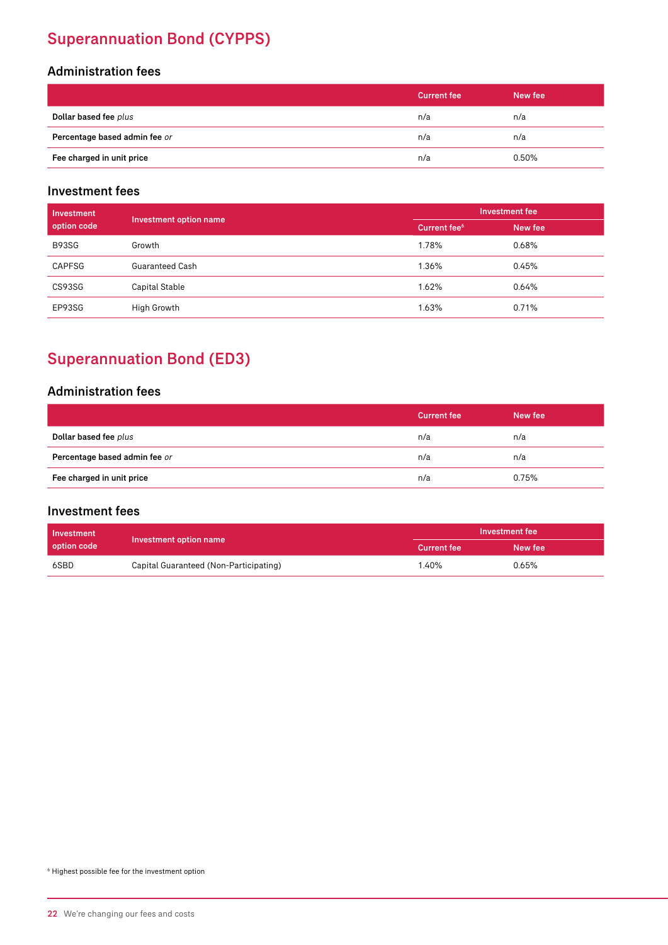### Superannuation Bond (CYPPS)

### Administration fees

|                               | <b>Current fee</b> | New fee |
|-------------------------------|--------------------|---------|
| Dollar based fee plus         | n/a                | n/a     |
| Percentage based admin fee or | n/a                | n/a     |
| Fee charged in unit price     | n/a                | 0.50%   |

#### Investment fees

| Investment<br>option code | Investment option name | Investment fee           |         |  |
|---------------------------|------------------------|--------------------------|---------|--|
|                           |                        | Current fee <sup>6</sup> | New fee |  |
| B93SG                     | Growth                 | 1.78%                    | 0.68%   |  |
| CAPFSG                    | <b>Guaranteed Cash</b> | 1.36%                    | 0.45%   |  |
| CS93SG                    | Capital Stable         | 1.62%                    | 0.64%   |  |
| EP93SG                    | High Growth            | 1.63%                    | 0.71%   |  |

### Superannuation Bond (ED3)

#### Administration fees

|                               | <b>Current fee</b> | New fee |
|-------------------------------|--------------------|---------|
| Dollar based fee plus         | n/a                | n/a     |
| Percentage based admin fee or | n/a                | n/a     |
| Fee charged in unit price     | n/a                | 0.75%   |

| Investment<br>option code | Investment option name                 | Investment fee     |         |
|---------------------------|----------------------------------------|--------------------|---------|
|                           |                                        | <b>Current fee</b> | New fee |
| 6SBD                      | Capital Guaranteed (Non-Participating) | 1.40%              | 0.65%   |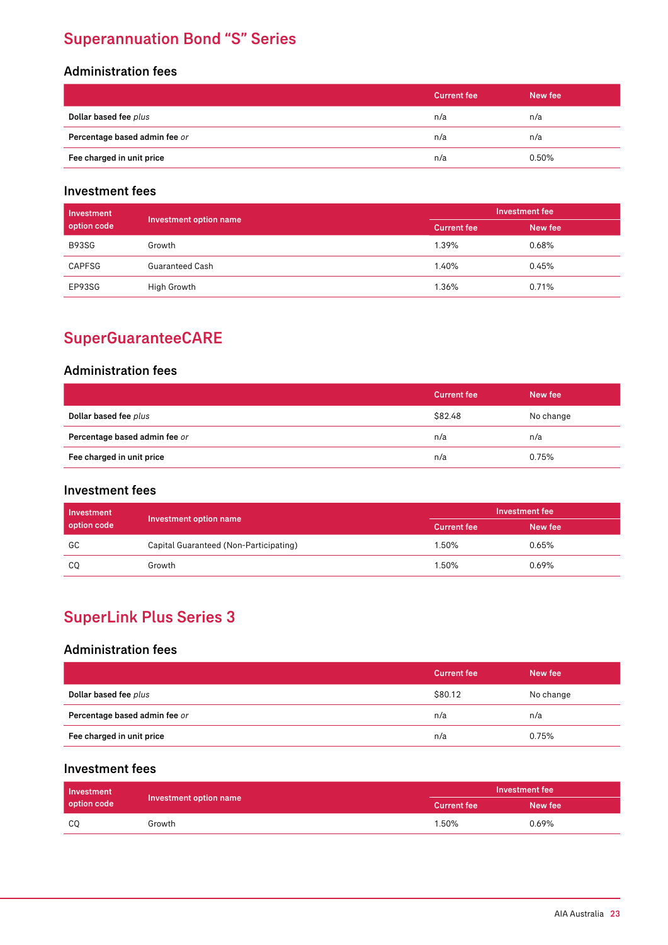### Superannuation Bond "S" Series

### Administration fees

|                               | <b>Current fee</b> | New fee |
|-------------------------------|--------------------|---------|
| Dollar based fee plus         | n/a                | n/a     |
| Percentage based admin fee or | n/a                | n/a     |
| Fee charged in unit price     | n/a                | 0.50%   |

### Investment fees

| Investment<br>option code | Investment option name | Investment fee     |         |
|---------------------------|------------------------|--------------------|---------|
|                           |                        | <b>Current fee</b> | New fee |
| <b>B93SG</b>              | Growth                 | 1.39%              | 0.68%   |
| CAPFSG                    | <b>Guaranteed Cash</b> | 1.40%              | 0.45%   |
| EP93SG                    | High Growth            | 1.36%              | 0.71%   |

### SuperGuaranteeCARE

#### Administration fees

|                               | <b>Current fee</b> | New fee   |
|-------------------------------|--------------------|-----------|
| Dollar based fee plus         | \$82.48            | No change |
| Percentage based admin fee or | n/a                | n/a       |
| Fee charged in unit price     | n/a                | 0.75%     |

#### Investment fees

| Investment<br>option code | Investment option name                 | Investment fee     |         |
|---------------------------|----------------------------------------|--------------------|---------|
|                           |                                        | <b>Current fee</b> | New fee |
| GC                        | Capital Guaranteed (Non-Participating) | 1.50%              | 0.65%   |
| СQ                        | Growth                                 | 1.50%              | 0.69%   |

### SuperLink Plus Series 3

### Administration fees

|                               | <b>Current fee</b> | New fee   |
|-------------------------------|--------------------|-----------|
| Dollar based fee plus         | \$80.12            | No change |
| Percentage based admin fee or | n/a                | n/a       |
| Fee charged in unit price     | n/a                | 0.75%     |

| Investment<br>option code | Investment option name | Investment fee     |         |
|---------------------------|------------------------|--------------------|---------|
|                           |                        | <b>Current fee</b> | New fee |
| CO.                       | Growth                 | 1.50%              | 0.69%   |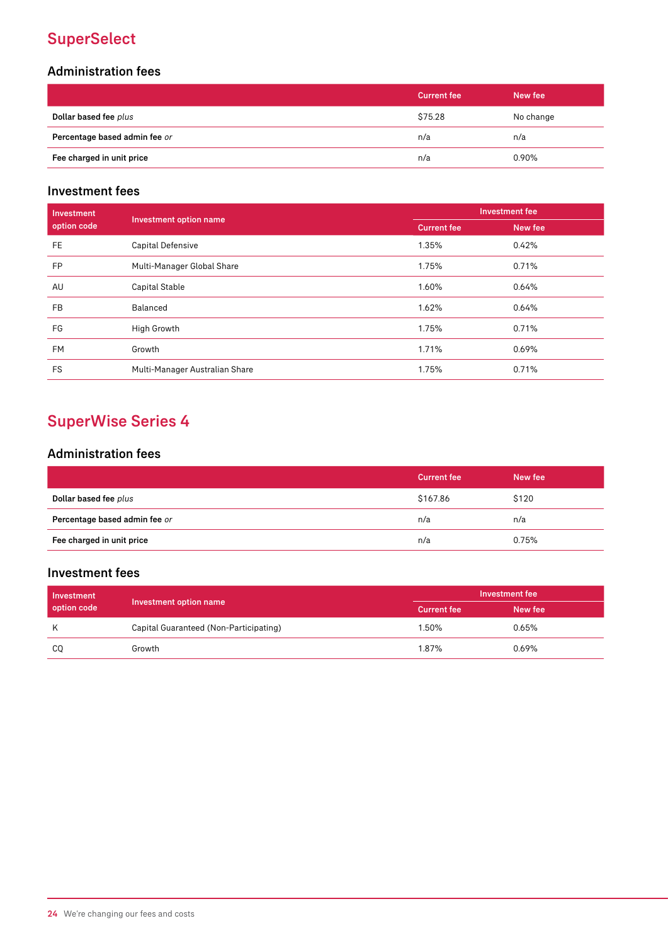### **SuperSelect**

### Administration fees

|                               | <b>Current fee</b> | New fee   |
|-------------------------------|--------------------|-----------|
| Dollar based fee plus         | \$75.28            | No change |
| Percentage based admin fee or | n/a                | n/a       |
| Fee charged in unit price     | n/a                | 0.90%     |

#### Investment fees

| Investment  | Investment option name         | Investment fee     |         |
|-------------|--------------------------------|--------------------|---------|
| option code |                                | <b>Current fee</b> | New fee |
| FE.         | <b>Capital Defensive</b>       | 1.35%              | 0.42%   |
| <b>FP</b>   | Multi-Manager Global Share     | 1.75%              | 0.71%   |
| AU          | <b>Capital Stable</b>          | 1.60%              | 0.64%   |
| <b>FB</b>   | Balanced                       | 1.62%              | 0.64%   |
| FG          | High Growth                    | 1.75%              | 0.71%   |
| <b>FM</b>   | Growth                         | 1.71%              | 0.69%   |
| FS          | Multi-Manager Australian Share | 1.75%              | 0.71%   |

### SuperWise Series 4

### Administration fees

|                               | <b>Current fee</b> | New fee |
|-------------------------------|--------------------|---------|
| Dollar based fee plus         | \$167.86           | \$120   |
| Percentage based admin fee or | n/a                | n/a     |
| Fee charged in unit price     | n/a                | 0.75%   |

| Investment<br>option code | Investment option name                 | Investment fee     |         |
|---------------------------|----------------------------------------|--------------------|---------|
|                           |                                        | <b>Current fee</b> | New fee |
|                           | Capital Guaranteed (Non-Participating) | 1.50%              | 0.65%   |
| СQ                        | Growth                                 | 1.87%              | 0.69%   |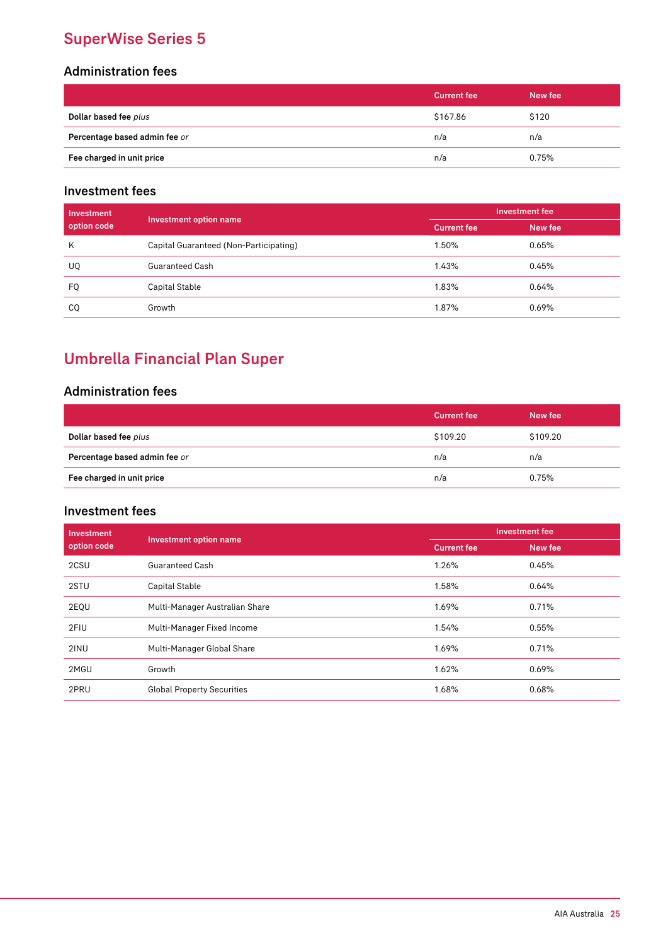### SuperWise Series 5

### Administration fees

|                               | <b>Current fee</b> | New fee |
|-------------------------------|--------------------|---------|
| Dollar based fee plus         | \$167.86           | \$120   |
| Percentage based admin fee or | n/a                | n/a     |
| Fee charged in unit price     | n/a                | 0.75%   |

#### Investment fees

| Investment<br>option code | Investment option name                 | Investment fee     |         |
|---------------------------|----------------------------------------|--------------------|---------|
|                           |                                        | <b>Current fee</b> | New fee |
| K                         | Capital Guaranteed (Non-Participating) | 1.50%              | 0.65%   |
| UQ                        | Guaranteed Cash                        | 1.43%              | 0.45%   |
| FQ                        | Capital Stable                         | 1.83%              | 0.64%   |
| CQ                        | Growth                                 | 1.87%              | 0.69%   |

### Umbrella Financial Plan Super

### Administration fees

|                               | <b>Current fee</b> | New fee  |
|-------------------------------|--------------------|----------|
| Dollar based fee plus         | \$109.20           | \$109.20 |
| Percentage based admin fee or | n/a                | n/a      |
| Fee charged in unit price     | n/a                | 0.75%    |

| Investment<br>option code | <b>Investment option name</b>     | Investment fee     |         |
|---------------------------|-----------------------------------|--------------------|---------|
|                           |                                   | <b>Current fee</b> | New fee |
| 2CSU                      | <b>Guaranteed Cash</b>            | 1.26%              | 0.45%   |
| 2STU                      | <b>Capital Stable</b>             | 1.58%              | 0.64%   |
| 2EQU                      | Multi-Manager Australian Share    | 1.69%              | 0.71%   |
| 2FIU                      | Multi-Manager Fixed Income        | 1.54%              | 0.55%   |
| 2INU                      | Multi-Manager Global Share        | 1.69%              | 0.71%   |
| 2MGU                      | Growth                            | 1.62%              | 0.69%   |
| 2PRU                      | <b>Global Property Securities</b> | 1.68%              | 0.68%   |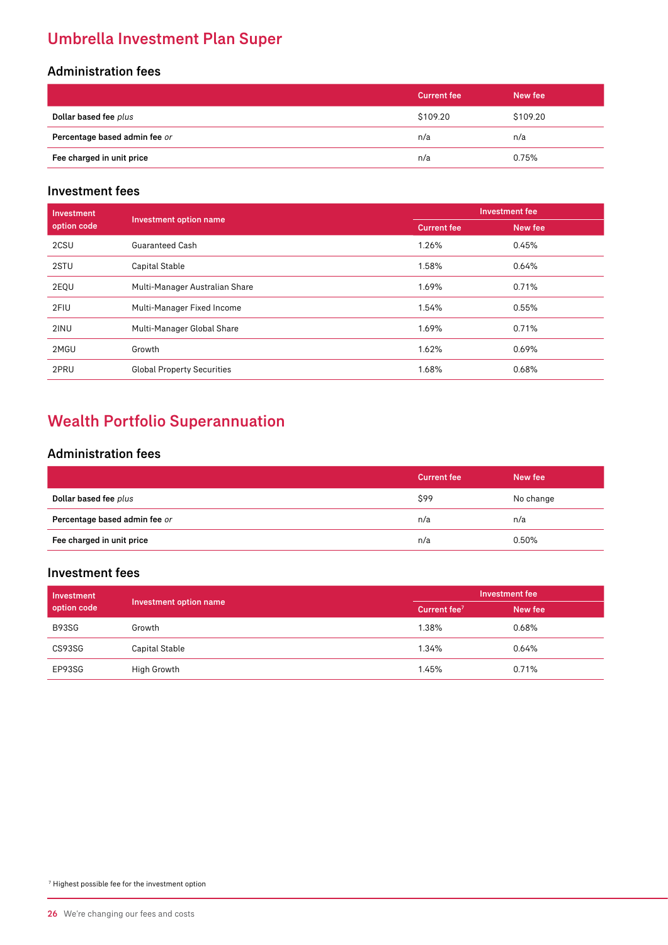### Umbrella Investment Plan Super

### Administration fees

|                               | <b>Current fee</b> | New fee  |
|-------------------------------|--------------------|----------|
| Dollar based fee plus         | \$109.20           | \$109.20 |
| Percentage based admin fee or | n/a                | n/a      |
| Fee charged in unit price     | n/a                | 0.75%    |

#### Investment fees

| Investment<br>option code | Investment option name            | Investment fee     |         |
|---------------------------|-----------------------------------|--------------------|---------|
|                           |                                   | <b>Current fee</b> | New fee |
| 2CSU                      | <b>Guaranteed Cash</b>            | 1.26%              | 0.45%   |
| 2STU                      | <b>Capital Stable</b>             | 1.58%              | 0.64%   |
| 2EQU                      | Multi-Manager Australian Share    | 1.69%              | 0.71%   |
| 2FIU                      | Multi-Manager Fixed Income        | 1.54%              | 0.55%   |
| 2INU                      | Multi-Manager Global Share        | 1.69%              | 0.71%   |
| 2MGU                      | Growth                            | 1.62%              | 0.69%   |
| 2PRU                      | <b>Global Property Securities</b> | 1.68%              | 0.68%   |

### Wealth Portfolio Superannuation

#### Administration fees

|                               | <b>Current fee</b> | New fee   |
|-------------------------------|--------------------|-----------|
| Dollar based fee plus         | <b>S99</b>         | No change |
| Percentage based admin fee or | n/a                | n/a       |
| Fee charged in unit price     | n/a                | 0.50%     |

| Investment<br>option code | Investment option name | Investment fee           |         |
|---------------------------|------------------------|--------------------------|---------|
|                           |                        | Current fee <sup>7</sup> | New fee |
| B93SG                     | Growth                 | 1.38%                    | 0.68%   |
| CS93SG                    | Capital Stable         | 1.34%                    | 0.64%   |
| EP93SG                    | High Growth            | 1.45%                    | 0.71%   |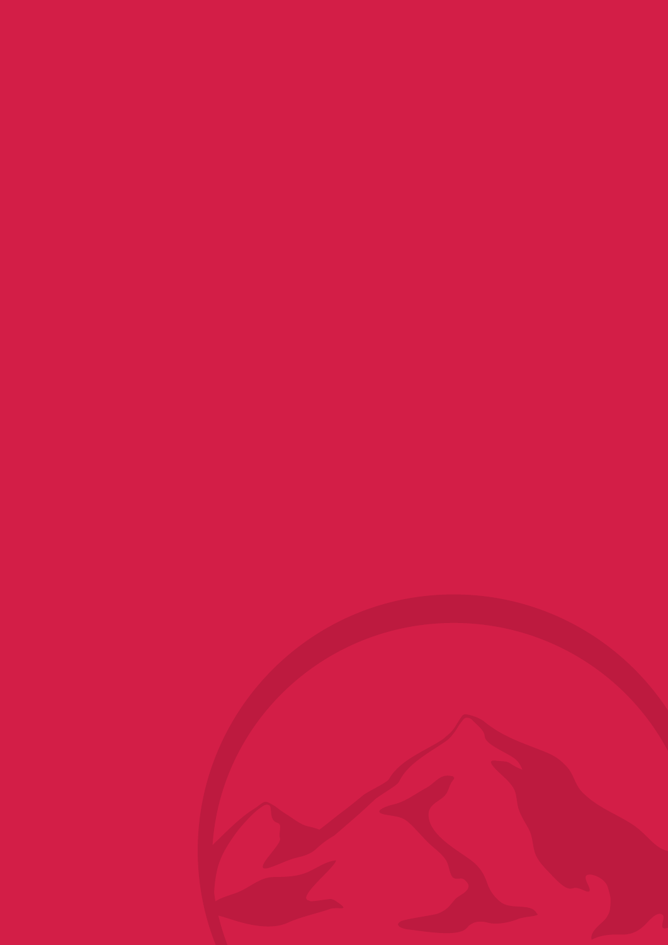